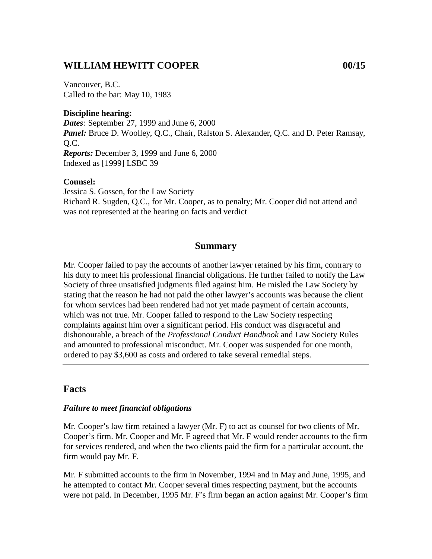### **WILLIAM HEWITT COOPER 00/15**

Vancouver, B.C. Called to the bar: May 10, 1983

**Discipline hearing:** *Dates:* September 27, 1999 and June 6, 2000 Panel: Bruce D. Woolley, Q.C., Chair, Ralston S. Alexander, Q.C. and D. Peter Ramsay, Q.C. *Reports:* December 3, 1999 and June 6, 2000 Indexed as [1999] LSBC 39

#### **Counsel:**

Jessica S. Gossen, for the Law Society Richard R. Sugden, Q.C., for Mr. Cooper, as to penalty; Mr. Cooper did not attend and was not represented at the hearing on facts and verdict

#### **Summary**

Mr. Cooper failed to pay the accounts of another lawyer retained by his firm, contrary to his duty to meet his professional financial obligations. He further failed to notify the Law Society of three unsatisfied judgments filed against him. He misled the Law Society by stating that the reason he had not paid the other lawyer's accounts was because the client for whom services had been rendered had not yet made payment of certain accounts, which was not true. Mr. Cooper failed to respond to the Law Society respecting complaints against him over a significant period. His conduct was disgraceful and dishonourable, a breach of the *Professional Conduct Handbook* and Law Society Rules and amounted to professional misconduct. Mr. Cooper was suspended for one month, ordered to pay \$3,600 as costs and ordered to take several remedial steps.

#### **Facts**

#### *Failure to meet financial obligations*

Mr. Cooper's law firm retained a lawyer (Mr. F) to act as counsel for two clients of Mr. Cooper's firm. Mr. Cooper and Mr. F agreed that Mr. F would render accounts to the firm for services rendered, and when the two clients paid the firm for a particular account, the firm would pay Mr. F.

Mr. F submitted accounts to the firm in November, 1994 and in May and June, 1995, and he attempted to contact Mr. Cooper several times respecting payment, but the accounts were not paid. In December, 1995 Mr. F's firm began an action against Mr. Cooper's firm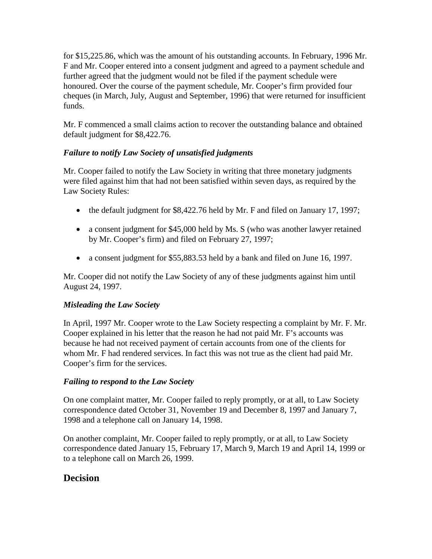for \$15,225.86, which was the amount of his outstanding accounts. In February, 1996 Mr. F and Mr. Cooper entered into a consent judgment and agreed to a payment schedule and further agreed that the judgment would not be filed if the payment schedule were honoured. Over the course of the payment schedule, Mr. Cooper's firm provided four cheques (in March, July, August and September, 1996) that were returned for insufficient funds.

Mr. F commenced a small claims action to recover the outstanding balance and obtained default judgment for \$8,422.76.

### *Failure to notify Law Society of unsatisfied judgments*

Mr. Cooper failed to notify the Law Society in writing that three monetary judgments were filed against him that had not been satisfied within seven days, as required by the Law Society Rules:

- the default judgment for \$8,422.76 held by Mr. F and filed on January 17, 1997;
- a consent judgment for \$45,000 held by Ms. S (who was another lawyer retained by Mr. Cooper's firm) and filed on February 27, 1997;
- a consent judgment for \$55,883.53 held by a bank and filed on June 16, 1997.

Mr. Cooper did not notify the Law Society of any of these judgments against him until August 24, 1997.

### *Misleading the Law Society*

In April, 1997 Mr. Cooper wrote to the Law Society respecting a complaint by Mr. F. Mr. Cooper explained in his letter that the reason he had not paid Mr. F's accounts was because he had not received payment of certain accounts from one of the clients for whom Mr. F had rendered services. In fact this was not true as the client had paid Mr. Cooper's firm for the services.

### *Failing to respond to the Law Society*

On one complaint matter, Mr. Cooper failed to reply promptly, or at all, to Law Society correspondence dated October 31, November 19 and December 8, 1997 and January 7, 1998 and a telephone call on January 14, 1998.

On another complaint, Mr. Cooper failed to reply promptly, or at all, to Law Society correspondence dated January 15, February 17, March 9, March 19 and April 14, 1999 or to a telephone call on March 26, 1999.

## **Decision**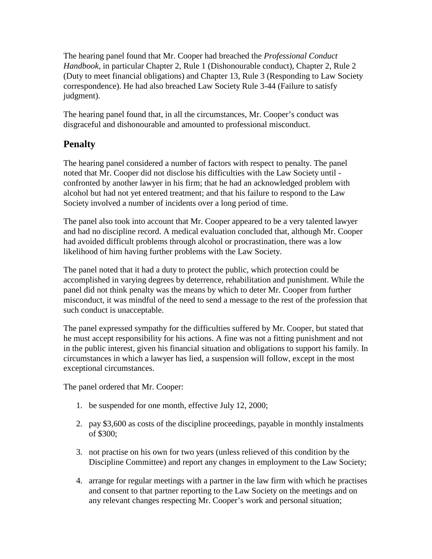The hearing panel found that Mr. Cooper had breached the *Professional Conduct Handbook,* in particular Chapter 2, Rule 1 (Dishonourable conduct), Chapter 2, Rule 2 (Duty to meet financial obligations) and Chapter 13, Rule 3 (Responding to Law Society correspondence). He had also breached Law Society Rule 3-44 (Failure to satisfy judgment).

The hearing panel found that, in all the circumstances, Mr. Cooper's conduct was disgraceful and dishonourable and amounted to professional misconduct.

# **Penalty**

The hearing panel considered a number of factors with respect to penalty. The panel noted that Mr. Cooper did not disclose his difficulties with the Law Society until confronted by another lawyer in his firm; that he had an acknowledged problem with alcohol but had not yet entered treatment; and that his failure to respond to the Law Society involved a number of incidents over a long period of time.

The panel also took into account that Mr. Cooper appeared to be a very talented lawyer and had no discipline record. A medical evaluation concluded that, although Mr. Cooper had avoided difficult problems through alcohol or procrastination, there was a low likelihood of him having further problems with the Law Society.

The panel noted that it had a duty to protect the public, which protection could be accomplished in varying degrees by deterrence, rehabilitation and punishment. While the panel did not think penalty was the means by which to deter Mr. Cooper from further misconduct, it was mindful of the need to send a message to the rest of the profession that such conduct is unacceptable.

The panel expressed sympathy for the difficulties suffered by Mr. Cooper, but stated that he must accept responsibility for his actions. A fine was not a fitting punishment and not in the public interest, given his financial situation and obligations to support his family. In circumstances in which a lawyer has lied, a suspension will follow, except in the most exceptional circumstances.

The panel ordered that Mr. Cooper:

- 1. be suspended for one month, effective July 12, 2000;
- 2. pay \$3,600 as costs of the discipline proceedings, payable in monthly instalments of \$300;
- 3. not practise on his own for two years (unless relieved of this condition by the Discipline Committee) and report any changes in employment to the Law Society;
- 4. arrange for regular meetings with a partner in the law firm with which he practises and consent to that partner reporting to the Law Society on the meetings and on any relevant changes respecting Mr. Cooper's work and personal situation;